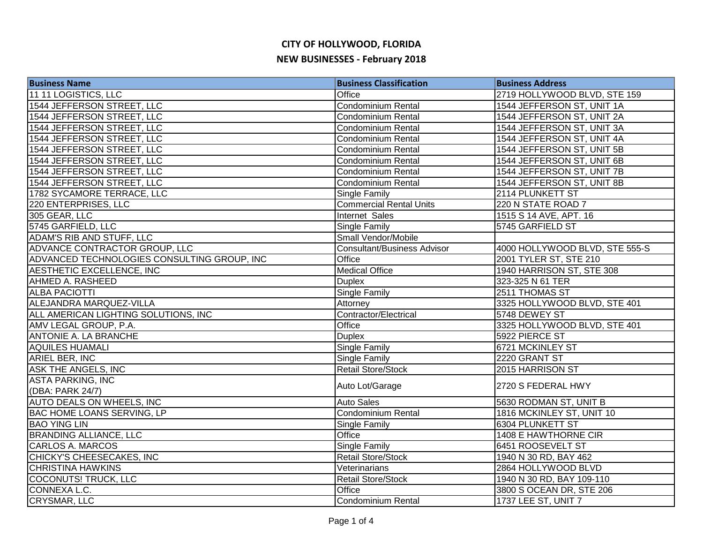| <b>Business Name</b>                        | <b>Business Classification</b>     | <b>Business Address</b>        |
|---------------------------------------------|------------------------------------|--------------------------------|
| 11 11 LOGISTICS, LLC                        | Office                             | 2719 HOLLYWOOD BLVD, STE 159   |
| 1544 JEFFERSON STREET, LLC                  | Condominium Rental                 | 1544 JEFFERSON ST, UNIT 1A     |
| 1544 JEFFERSON STREET, LLC                  | Condominium Rental                 | 1544 JEFFERSON ST, UNIT 2A     |
| 1544 JEFFERSON STREET, LLC                  | Condominium Rental                 | 1544 JEFFERSON ST, UNIT 3A     |
| 1544 JEFFERSON STREET, LLC                  | <b>Condominium Rental</b>          | 1544 JEFFERSON ST, UNIT 4A     |
| 1544 JEFFERSON STREET, LLC                  | <b>Condominium Rental</b>          | 1544 JEFFERSON ST, UNIT 5B     |
| 1544 JEFFERSON STREET, LLC                  | Condominium Rental                 | 1544 JEFFERSON ST, UNIT 6B     |
| 1544 JEFFERSON STREET, LLC                  | Condominium Rental                 | 1544 JEFFERSON ST, UNIT 7B     |
| 1544 JEFFERSON STREET, LLC                  | Condominium Rental                 | 1544 JEFFERSON ST, UNIT 8B     |
| 1782 SYCAMORE TERRACE, LLC                  | Single Family                      | 2114 PLUNKETT ST               |
| 220 ENTERPRISES, LLC                        | <b>Commercial Rental Units</b>     | 220 N STATE ROAD 7             |
| 305 GEAR, LLC                               | Internet Sales                     | 1515 S 14 AVE, APT. 16         |
| 5745 GARFIELD, LLC                          | Single Family                      | 5745 GARFIELD ST               |
| ADAM'S RIB AND STUFF, LLC                   | Small Vendor/Mobile                |                                |
| ADVANCE CONTRACTOR GROUP, LLC               | <b>Consultant/Business Advisor</b> | 4000 HOLLYWOOD BLVD, STE 555-S |
| ADVANCED TECHNOLOGIES CONSULTING GROUP, INC | Office                             | 2001 TYLER ST, STE 210         |
| AESTHETIC EXCELLENCE, INC                   | <b>Medical Office</b>              | 1940 HARRISON ST, STE 308      |
| AHMED A. RASHEED                            | <b>Duplex</b>                      | 323-325 N 61 TER               |
| <b>ALBA PACIOTTI</b>                        | <b>Single Family</b>               | 2511 THOMAS ST                 |
| ALEJANDRA MARQUEZ-VILLA                     | Attorney                           | 3325 HOLLYWOOD BLVD, STE 401   |
| ALL AMERICAN LIGHTING SOLUTIONS, INC        | Contractor/Electrical              | 5748 DEWEY ST                  |
| AMV LEGAL GROUP, P.A.                       | Office                             | 3325 HOLLYWOOD BLVD, STE 401   |
| ANTONIE A. LA BRANCHE                       | <b>Duplex</b>                      | 5922 PIERCE ST                 |
| <b>AQUILES HUAMALI</b>                      | <b>Single Family</b>               | 6721 MCKINLEY ST               |
| <b>ARIEL BER, INC</b>                       | Single Family                      | 2220 GRANT ST                  |
| <b>ASK THE ANGELS, INC</b>                  | <b>Retail Store/Stock</b>          | 2015 HARRISON ST               |
| <b>ASTA PARKING, INC</b>                    | Auto Lot/Garage                    | 2720 S FEDERAL HWY             |
| (DBA: PARK 24/7)                            |                                    |                                |
| <b>AUTO DEALS ON WHEELS, INC</b>            | <b>Auto Sales</b>                  | 5630 RODMAN ST, UNIT B         |
| <b>BAC HOME LOANS SERVING, LP</b>           | <b>Condominium Rental</b>          | 1816 MCKINLEY ST, UNIT 10      |
| <b>BAO YING LIN</b>                         | Single Family                      | 6304 PLUNKETT ST               |
| <b>BRANDING ALLIANCE, LLC</b>               | Office                             | 1408 E HAWTHORNE CIR           |
| CARLOS A. MARCOS                            | Single Family                      | 6451 ROOSEVELT ST              |
| CHICKY'S CHEESECAKES, INC                   | Retail Store/Stock                 | 1940 N 30 RD, BAY 462          |
| <b>CHRISTINA HAWKINS</b>                    | Veterinarians                      | 2864 HOLLYWOOD BLVD            |
| COCONUTS! TRUCK, LLC                        | Retail Store/Stock                 | 1940 N 30 RD, BAY 109-110      |
| CONNEXA L.C.                                | Office                             | 3800 S OCEAN DR, STE 206       |
| CRYSMAR, LLC                                | Condominium Rental                 | 1737 LEE ST, UNIT 7            |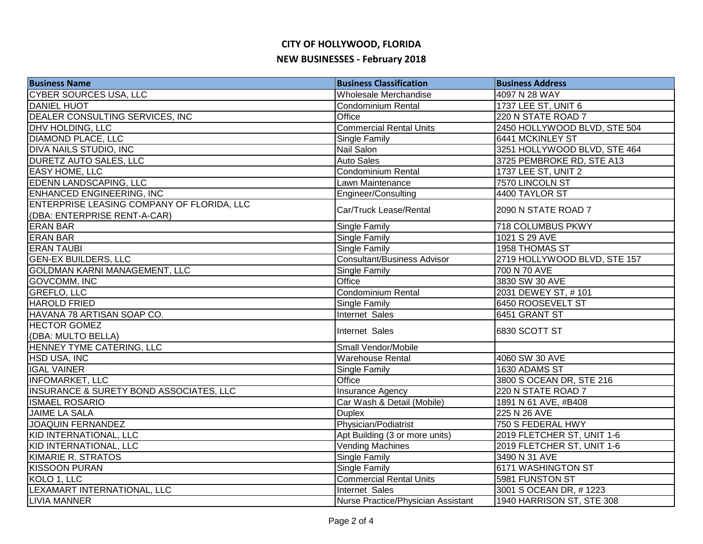| <b>Business Name</b>                                                       | <b>Business Classification</b>     | <b>Business Address</b>      |
|----------------------------------------------------------------------------|------------------------------------|------------------------------|
| <b>CYBER SOURCES USA, LLC</b>                                              | Wholesale Merchandise              | 4097 N 28 WAY                |
| <b>DANIEL HUOT</b>                                                         | <b>Condominium Rental</b>          | 1737 LEE ST, UNIT 6          |
| DEALER CONSULTING SERVICES, INC                                            | Office                             | 220 N STATE ROAD 7           |
| <b>DHV HOLDING, LLC</b>                                                    | <b>Commercial Rental Units</b>     | 2450 HOLLYWOOD BLVD, STE 504 |
| <b>DIAMOND PLACE, LLC</b>                                                  | Single Family                      | 6441 MCKINLEY ST             |
| <b>DIVA NAILS STUDIO, INC</b>                                              | Nail Salon                         | 3251 HOLLYWOOD BLVD, STE 464 |
| <b>DURETZ AUTO SALES, LLC</b>                                              | <b>Auto Sales</b>                  | 3725 PEMBROKE RD, STE A13    |
| <b>EASY HOME, LLC</b>                                                      | <b>Condominium Rental</b>          | 1737 LEE ST, UNIT 2          |
| <b>EDENN LANDSCAPING, LLC</b>                                              | Lawn Maintenance                   | 7570 LINCOLN ST              |
| ENHANCED ENGINEERING, INC                                                  | Engineer/Consulting                | 4400 TAYLOR ST               |
| ENTERPRISE LEASING COMPANY OF FLORIDA, LLC<br>(DBA: ENTERPRISE RENT-A-CAR) | Car/Truck Lease/Rental             | 2090 N STATE ROAD 7          |
| <b>ERAN BAR</b>                                                            | Single Family                      | 718 COLUMBUS PKWY            |
| <b>ERAN BAR</b>                                                            | Single Family                      | 1021 S 29 AVE                |
| <b>ERAN TAUBI</b>                                                          | <b>Single Family</b>               | 1958 THOMAS ST               |
| <b>GEN-EX BUILDERS, LLC</b>                                                | <b>Consultant/Business Advisor</b> | 2719 HOLLYWOOD BLVD, STE 157 |
| <b>GOLDMAN KARNI MANAGEMENT, LLC</b>                                       | Single Family                      | 700 N 70 AVE                 |
| GOVCOMM, INC                                                               | Office                             | 3830 SW 30 AVE               |
| <b>GREFLO, LLC</b>                                                         | Condominium Rental                 | 2031 DEWEY ST, #101          |
| <b>HAROLD FRIED</b>                                                        | Single Family                      | 6450 ROOSEVELT ST            |
| HAVANA 78 ARTISAN SOAP CO.                                                 | <b>Internet Sales</b>              | 6451 GRANT ST                |
| <b>HECTOR GOMEZ</b><br>(DBA: MULTO BELLA)                                  | Internet Sales                     | 6830 SCOTT ST                |
| HENNEY TYME CATERING, LLC                                                  | Small Vendor/Mobile                |                              |
| <b>HSD USA, INC</b>                                                        | Warehouse Rental                   | 4060 SW 30 AVE               |
| <b>IGAL VAINER</b>                                                         | Single Family                      | 1630 ADAMS ST                |
| <b>INFOMARKET, LLC</b>                                                     | Office                             | 3800 S OCEAN DR, STE 216     |
| <b>INSURANCE &amp; SURETY BOND ASSOCIATES, LLC</b>                         | Insurance Agency                   | 220 N STATE ROAD 7           |
| <b>ISMAEL ROSARIO</b>                                                      | Car Wash & Detail (Mobile)         | 1891 N 61 AVE, #B408         |
| <b>JAIME LA SALA</b>                                                       | <b>Duplex</b>                      | 225 N 26 AVE                 |
| <b>JOAQUIN FERNANDEZ</b>                                                   | Physician/Podiatrist               | 750 S FEDERAL HWY            |
| KID INTERNATIONAL, LLC                                                     | Apt Building (3 or more units)     | 2019 FLETCHER ST, UNIT 1-6   |
| <b>KID INTERNATIONAL, LLC</b>                                              | <b>Vending Machines</b>            | 2019 FLETCHER ST, UNIT 1-6   |
| KIMARIE R. STRATOS                                                         | Single Family                      | 3490 N 31 AVE                |
| <b>KISSOON PURAN</b>                                                       | Single Family                      | 6171 WASHINGTON ST           |
| KOLO 1, LLC                                                                | <b>Commercial Rental Units</b>     | 5981 FUNSTON ST              |
| LEXAMART INTERNATIONAL, LLC                                                | Internet Sales                     | 3001 S OCEAN DR, #1223       |
| <b>LIVIA MANNER</b>                                                        | Nurse Practice/Physician Assistant | 1940 HARRISON ST, STE 308    |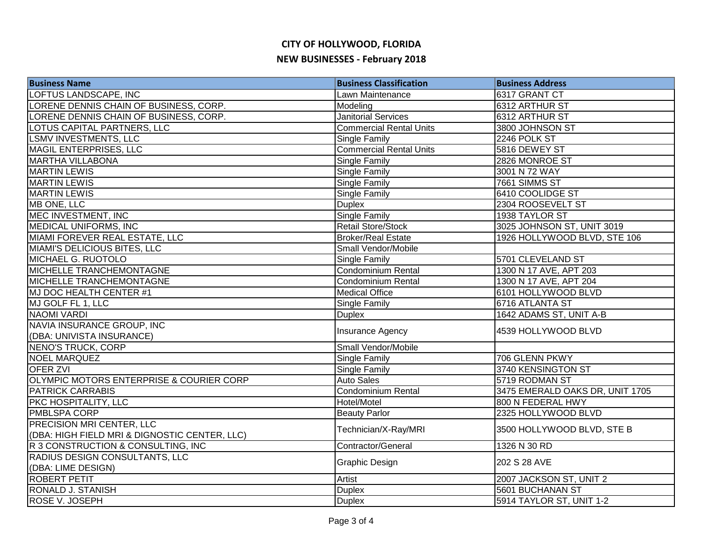| <b>Business Name</b>                          | <b>Business Classification</b> | <b>Business Address</b>         |
|-----------------------------------------------|--------------------------------|---------------------------------|
| LOFTUS LANDSCAPE, INC                         | Lawn Maintenance               | 6317 GRANT CT                   |
| LORENE DENNIS CHAIN OF BUSINESS, CORP.        | Modeling                       | 6312 ARTHUR ST                  |
| LORENE DENNIS CHAIN OF BUSINESS, CORP.        | <b>Janitorial Services</b>     | 6312 ARTHUR ST                  |
| LOTUS CAPITAL PARTNERS, LLC                   | <b>Commercial Rental Units</b> | 3800 JOHNSON ST                 |
| <b>LSMV INVESTMENTS, LLC</b>                  | <b>Single Family</b>           | 2246 POLK ST                    |
| MAGIL ENTERPRISES, LLC                        | <b>Commercial Rental Units</b> | 5816 DEWEY ST                   |
| <b>MARTHA VILLABONA</b>                       | <b>Single Family</b>           | 2826 MONROE ST                  |
| <b>MARTIN LEWIS</b>                           | <b>Single Family</b>           | 3001 N 72 WAY                   |
| <b>MARTIN LEWIS</b>                           | Single Family                  | 7661 SIMMS ST                   |
| <b>MARTIN LEWIS</b>                           | Single Family                  | 6410 COOLIDGE ST                |
| MB ONE, LLC                                   | <b>Duplex</b>                  | 2304 ROOSEVELT ST               |
| MEC INVESTMENT, INC                           | Single Family                  | 1938 TAYLOR ST                  |
| MEDICAL UNIFORMS, INC                         | Retail Store/Stock             | 3025 JOHNSON ST, UNIT 3019      |
| MIAMI FOREVER REAL ESTATE, LLC                | <b>Broker/Real Estate</b>      | 1926 HOLLYWOOD BLVD, STE 106    |
| MIAMI'S DELICIOUS BITES, LLC                  | Small Vendor/Mobile            |                                 |
| <b>MICHAEL G. RUOTOLO</b>                     | Single Family                  | 5701 CLEVELAND ST               |
| <b>MICHELLE TRANCHEMONTAGNE</b>               | <b>Condominium Rental</b>      | 1300 N 17 AVE, APT 203          |
| <b>MICHELLE TRANCHEMONTAGNE</b>               | <b>Condominium Rental</b>      | 1300 N 17 AVE, APT 204          |
| MJ DOC HEALTH CENTER #1                       | <b>Medical Office</b>          | 6101 HOLLYWOOD BLVD             |
| MJ GOLF FL 1, LLC                             | Single Family                  | 6716 ATLANTA ST                 |
| <b>NAOMI VARDI</b>                            | <b>Duplex</b>                  | 1642 ADAMS ST, UNIT A-B         |
| NAVIA INSURANCE GROUP, INC                    |                                | 4539 HOLLYWOOD BLVD             |
| (DBA: UNIVISTA INSURANCE)                     | Insurance Agency               |                                 |
| <b>NENO'S TRUCK, CORP</b>                     | Small Vendor/Mobile            |                                 |
| <b>NOEL MARQUEZ</b>                           | Single Family                  | 706 GLENN PKWY                  |
| <b>OFER ZVI</b>                               | <b>Single Family</b>           | 3740 KENSINGTON ST              |
| OLYMPIC MOTORS ENTERPRISE & COURIER CORP      | <b>Auto Sales</b>              | 5719 RODMAN ST                  |
| <b>PATRICK CARRABIS</b>                       | <b>Condominium Rental</b>      | 3475 EMERALD OAKS DR, UNIT 1705 |
| <b>PKC HOSPITALITY, LLC</b>                   | Hotel/Motel                    | 800 N FEDERAL HWY               |
| PMBLSPA CORP                                  | <b>Beauty Parlor</b>           | 2325 HOLLYWOOD BLVD             |
| PRECISION MRI CENTER, LLC                     | Technician/X-Ray/MRI           | 3500 HOLLYWOOD BLVD, STE B      |
| (DBA: HIGH FIELD MRI & DIGNOSTIC CENTER, LLC) |                                |                                 |
| R 3 CONSTRUCTION & CONSULTING, INC            | Contractor/General             | 1326 N 30 RD                    |
| RADIUS DESIGN CONSULTANTS, LLC                | Graphic Design                 | 202 S 28 AVE                    |
| (DBA: LIME DESIGN)                            |                                |                                 |
| <b>ROBERT PETIT</b>                           | Artist                         | 2007 JACKSON ST, UNIT 2         |
| RONALD J. STANISH                             | <b>Duplex</b>                  | 5601 BUCHANAN ST                |
| <b>ROSE V. JOSEPH</b>                         | <b>Duplex</b>                  | 5914 TAYLOR ST, UNIT 1-2        |